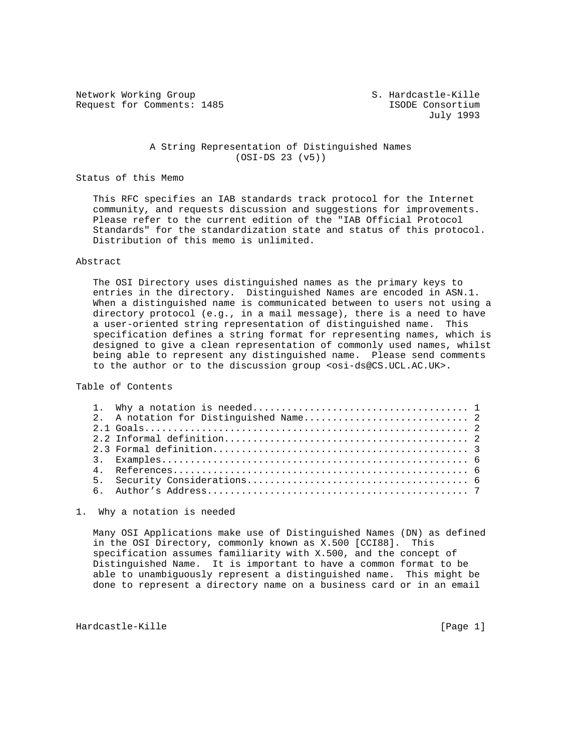Network Working Group S. Hardcastle-Kille Request for Comments: 1485 **ISODE** Consortium

July 1993

### A String Representation of Distinguished Names (OSI-DS 23 (v5))

#### Status of this Memo

 This RFC specifies an IAB standards track protocol for the Internet community, and requests discussion and suggestions for improvements. Please refer to the current edition of the "IAB Official Protocol Standards" for the standardization state and status of this protocol. Distribution of this memo is unlimited.

### Abstract

 The OSI Directory uses distinguished names as the primary keys to entries in the directory. Distinguished Names are encoded in ASN.1. When a distinguished name is communicated between to users not using a directory protocol (e.g., in a mail message), there is a need to have a user-oriented string representation of distinguished name. This specification defines a string format for representing names, which is designed to give a clean representation of commonly used names, whilst being able to represent any distinguished name. Please send comments to the author or to the discussion group <osi-ds@CS.UCL.AC.UK>.

Table of Contents

1. Why a notation is needed

 Many OSI Applications make use of Distinguished Names (DN) as defined in the OSI Directory, commonly known as X.500 [CCI88]. This specification assumes familiarity with X.500, and the concept of Distinguished Name. It is important to have a common format to be able to unambiguously represent a distinguished name. This might be done to represent a directory name on a business card or in an email

Hardcastle-Kille [Page 1]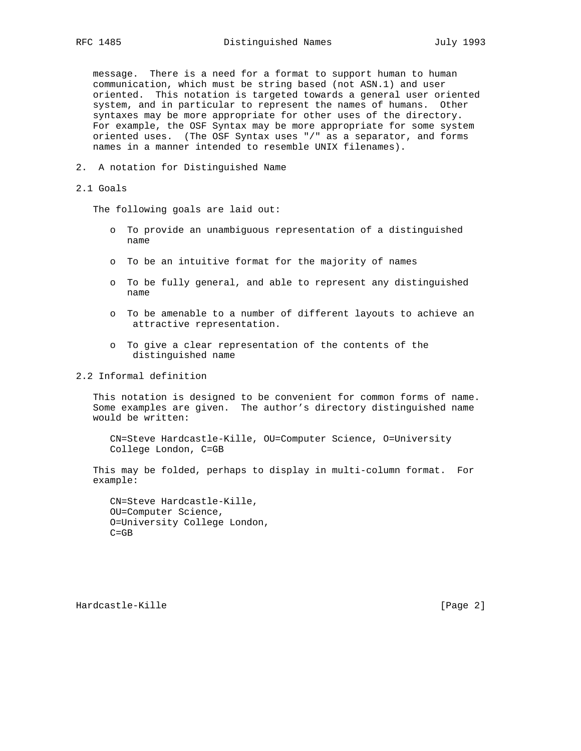message. There is a need for a format to support human to human communication, which must be string based (not ASN.1) and user oriented. This notation is targeted towards a general user oriented system, and in particular to represent the names of humans. Other syntaxes may be more appropriate for other uses of the directory. For example, the OSF Syntax may be more appropriate for some system oriented uses. (The OSF Syntax uses "/" as a separator, and forms names in a manner intended to resemble UNIX filenames).

2. A notation for Distinguished Name

## 2.1 Goals

The following goals are laid out:

- o To provide an unambiguous representation of a distinguished name
- o To be an intuitive format for the majority of names
- o To be fully general, and able to represent any distinguished name
- o To be amenable to a number of different layouts to achieve an attractive representation.
- o To give a clear representation of the contents of the distinguished name

2.2 Informal definition

 This notation is designed to be convenient for common forms of name. Some examples are given. The author's directory distinguished name would be written:

 CN=Steve Hardcastle-Kille, OU=Computer Science, O=University College London, C=GB

 This may be folded, perhaps to display in multi-column format. For example:

 CN=Steve Hardcastle-Kille, OU=Computer Science, O=University College London, C=GB

Hardcastle-Kille [Page 2]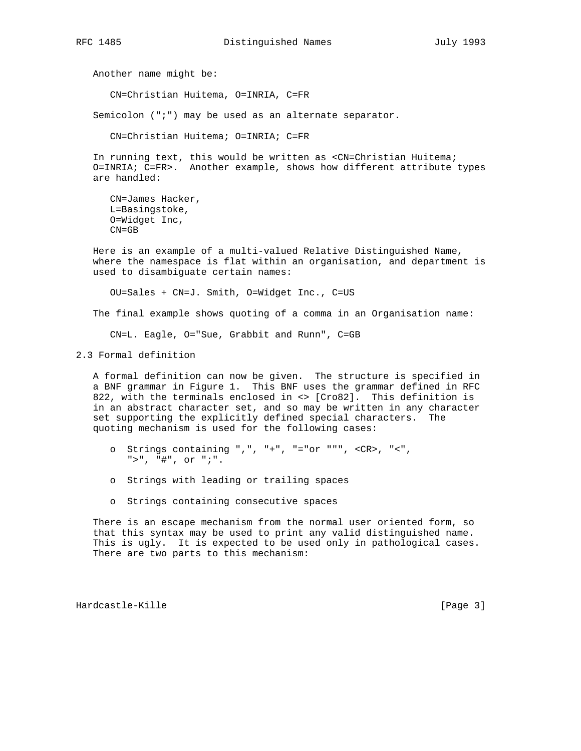Another name might be:

CN=Christian Huitema, O=INRIA, C=FR

Semicolon (";") may be used as an alternate separator.

CN=Christian Huitema; O=INRIA; C=FR

In running text, this would be written as <CN=Christian Huitema; O=INRIA; C=FR>. Another example, shows how different attribute types are handled:

 CN=James Hacker, L=Basingstoke, O=Widget Inc, CN=GB

 Here is an example of a multi-valued Relative Distinguished Name, where the namespace is flat within an organisation, and department is used to disambiguate certain names:

OU=Sales + CN=J. Smith, O=Widget Inc., C=US

The final example shows quoting of a comma in an Organisation name:

CN=L. Eagle, O="Sue, Grabbit and Runn", C=GB

2.3 Formal definition

 A formal definition can now be given. The structure is specified in a BNF grammar in Figure 1. This BNF uses the grammar defined in RFC 822, with the terminals enclosed in <> [Cro82]. This definition is in an abstract character set, and so may be written in any character set supporting the explicitly defined special characters. The quoting mechanism is used for the following cases:

- o Strings containing ",", "+", "="or """, <CR>, "<", ">", "#", or ";".
- o Strings with leading or trailing spaces
- o Strings containing consecutive spaces

 There is an escape mechanism from the normal user oriented form, so that this syntax may be used to print any valid distinguished name. This is ugly. It is expected to be used only in pathological cases. There are two parts to this mechanism:

Hardcastle-Kille [Page 3]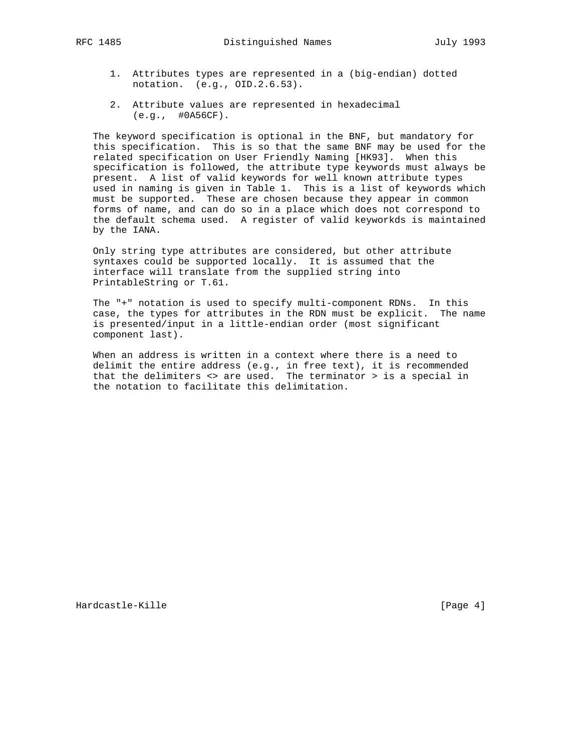- - 1. Attributes types are represented in a (big-endian) dotted notation. (e.g., OID.2.6.53).
	- 2. Attribute values are represented in hexadecimal (e.g., #0A56CF).

 The keyword specification is optional in the BNF, but mandatory for this specification. This is so that the same BNF may be used for the related specification on User Friendly Naming [HK93]. When this specification is followed, the attribute type keywords must always be present. A list of valid keywords for well known attribute types used in naming is given in Table 1. This is a list of keywords which must be supported. These are chosen because they appear in common forms of name, and can do so in a place which does not correspond to the default schema used. A register of valid keyworkds is maintained by the IANA.

 Only string type attributes are considered, but other attribute syntaxes could be supported locally. It is assumed that the interface will translate from the supplied string into PrintableString or T.61.

 The "+" notation is used to specify multi-component RDNs. In this case, the types for attributes in the RDN must be explicit. The name is presented/input in a little-endian order (most significant component last).

 When an address is written in a context where there is a need to delimit the entire address (e.g., in free text), it is recommended that the delimiters  $\langle \cdot \rangle$  are used. The terminator  $\rangle$  is a special in the notation to facilitate this delimitation.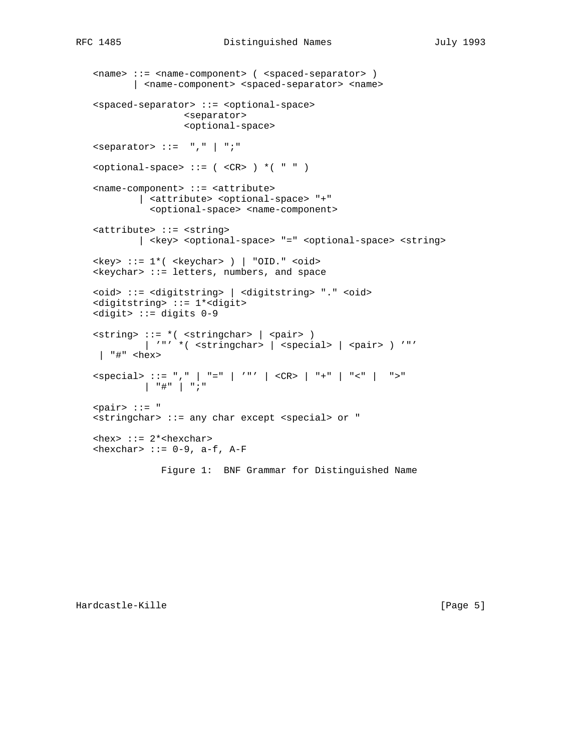```
 <name> ::= <name-component> ( <spaced-separator> )
          | <name-component> <spaced-separator> <name>
    <spaced-separator> ::= <optional-space>
                     <separator>
                     <optional-space>
    <separator> ::= "," | ";"
   \text{optional-space} ::= ( \text{CR} ) *( " " )
    <name-component> ::= <attribute>
            | <attribute> <optional-space> "+"
              <optional-space> <name-component>
    <attribute> ::= <string>
            | <key> <optional-space> "=" <optional-space> <string>
   \langle key \rangle ::= 1*( \langle keychar \rangle ) | "OID." \langle odd \rangle\langlekeychar> ::= letters, numbers, and space
    <oid> ::= <digitstring> | <digitstring> "." <oid>
    <digitstring> ::= 1*<digit>
    <digit> ::= digits 0-9
 <string> ::= *( <stringchar> | <pair> )
| '"' *( <stringchar> | <special> | <pair> ) '"'
    | "#" <hex>
 <special> ::= "," | "=" | '"' | <CR> | "+" | "<" | ">"
 | "#" | ";"
    <pair> ::= "
    <stringchar> ::= any char except <special> or "
   \text{<} hex> ::= 2*<hexchar>
   \text{<} hexchar> ::= 0-9, a-f, A-F
                Figure 1: BNF Grammar for Distinguished Name
```
Hardcastle-Kille [Page 5]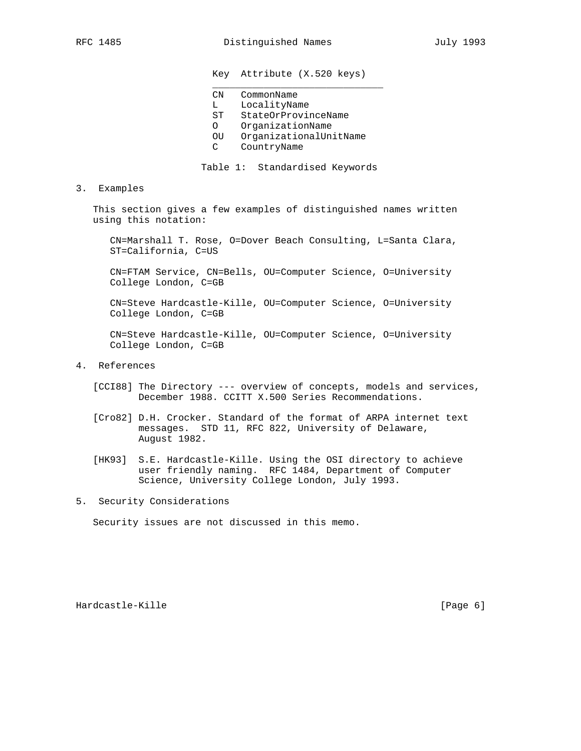# Key Attribute (X.520 keys)

CN CommonName

 $\frac{1}{2}$  ,  $\frac{1}{2}$  ,  $\frac{1}{2}$  ,  $\frac{1}{2}$  ,  $\frac{1}{2}$  ,  $\frac{1}{2}$  ,  $\frac{1}{2}$  ,  $\frac{1}{2}$  ,  $\frac{1}{2}$  ,  $\frac{1}{2}$  ,  $\frac{1}{2}$  ,  $\frac{1}{2}$  ,  $\frac{1}{2}$  ,  $\frac{1}{2}$  ,  $\frac{1}{2}$  ,  $\frac{1}{2}$  ,  $\frac{1}{2}$  ,  $\frac{1}{2}$  ,  $\frac{1$ 

- L LocalityName<br>ST StateOrProvir
- StateOrProvinceName
- O OrganizationName
- OU OrganizationalUnitName
- C CountryName

Table 1: Standardised Keywords

3. Examples

 This section gives a few examples of distinguished names written using this notation:

 CN=Marshall T. Rose, O=Dover Beach Consulting, L=Santa Clara, ST=California, C=US

 CN=FTAM Service, CN=Bells, OU=Computer Science, O=University College London, C=GB

 CN=Steve Hardcastle-Kille, OU=Computer Science, O=University College London, C=GB

 CN=Steve Hardcastle-Kille, OU=Computer Science, O=University College London, C=GB

- 4. References
	- [CCI88] The Directory --- overview of concepts, models and services, December 1988. CCITT X.500 Series Recommendations.
	- [Cro82] D.H. Crocker. Standard of the format of ARPA internet text messages. STD 11, RFC 822, University of Delaware, August 1982.
	- [HK93] S.E. Hardcastle-Kille. Using the OSI directory to achieve user friendly naming. RFC 1484, Department of Computer Science, University College London, July 1993.
- 5. Security Considerations

Security issues are not discussed in this memo.

Hardcastle-Kille [Page 6]